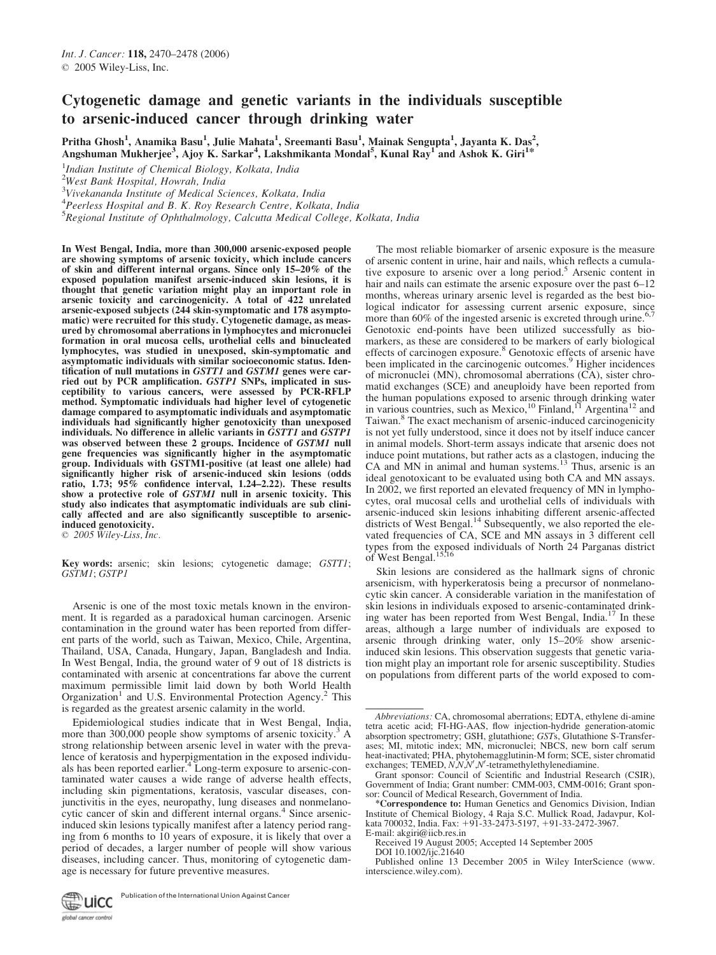# Cytogenetic damage and genetic variants in the individuals susceptible to arsenic-induced cancer through drinking water

Pritha Ghosh<sup>1</sup>, Anamika Basu<sup>1</sup>, Julie Mahata<sup>1</sup>, Sreemanti Basu<sup>1</sup>, Mainak Sengupta<sup>1</sup>, Jayanta K. Das<sup>2</sup>, Angshuman Mukherjee<sup>3</sup>, Ajoy K. Sarkar<sup>4</sup>, Lakshmikanta Mondal<sup>5</sup>, Kunal Ray<sup>1</sup> and Ashok K. Giri<sup>1\*</sup>

<sup>1</sup>Indian Institute of Chemical Biology, Kolkata, India

<sup>2</sup>West Bank Hospital, Howrah, India

3 Vivekananda Institute of Medical Sciences, Kolkata, India

<sup>4</sup>Peerless Hospital and B. K. Roy Research Centre, Kolkata, India

<sup>5</sup>Regional Institute of Ophthalmology, Calcutta Medical College, Kolkata, India

In West Bengal, India, more than 300,000 arsenic-exposed people are showing symptoms of arsenic toxicity, which include cancers of skin and different internal organs. Since only 15–20% of the exposed population manifest arsenic-induced skin lesions, it is thought that genetic variation might play an important role in arsenic toxicity and carcinogenicity. A total of 422 unrelated arsenic-exposed subjects (244 skin-symptomatic and 178 asymptomatic) were recruited for this study. Cytogenetic damage, as measured by chromosomal aberrations in lymphocytes and micronuclei formation in oral mucosa cells, urothelial cells and binucleated lymphocytes, was studied in unexposed, skin-symptomatic and asymptomatic individuals with similar socioeconomic status. Identification of null mutations in GSTT1 and GSTM1 genes were carried out by PCR amplification. GSTP1 SNPs, implicated in susceptibility to various cancers, were assessed by PCR-RFLP method. Symptomatic individuals had higher level of cytogenetic damage compared to asymptomatic individuals and asymptomatic individuals had significantly higher genotoxicity than unexposed individuals. No difference in allelic variants in GSTT1 and GSTP1 was observed between these 2 groups. Incidence of GSTM1 null gene frequencies was significantly higher in the asymptomatic group. Individuals with GSTM1-positive (at least one allele) had significantly higher risk of arsenic-induced skin lesions (odds ratio, 1.73;  $95\%$  confidence interval, 1.24–2.22). These results show a protective role of GSTM1 null in arsenic toxicity. This study also indicates that asymptomatic individuals are sub clinically affected and are also significantly susceptible to arsenicinduced genotoxicity.  $\odot$  2005 Wiley-Liss, Inc.

Key words: arsenic; skin lesions; cytogenetic damage; GSTT1; GSTM1; GSTP1

Arsenic is one of the most toxic metals known in the environment. It is regarded as a paradoxical human carcinogen. Arsenic contamination in the ground water has been reported from different parts of the world, such as Taiwan, Mexico, Chile, Argentina, Thailand, USA, Canada, Hungary, Japan, Bangladesh and India. In West Bengal, India, the ground water of 9 out of 18 districts is contaminated with arsenic at concentrations far above the current maximum permissible limit laid down by both World Health Organization<sup>1</sup> and U.S. Environmental Protection Agency.<sup>2</sup> This is regarded as the greatest arsenic calamity in the world.

Epidemiological studies indicate that in West Bengal, India, more than  $300,000$  people show symptoms of arsenic toxicity.<sup>3</sup> A strong relationship between arsenic level in water with the prevalence of keratosis and hyperpigmentation in the exposed individuals has been reported earlier.<sup>4</sup> Long-term exposure to arsenic-contaminated water causes a wide range of adverse health effects, including skin pigmentations, keratosis, vascular diseases, conjunctivitis in the eyes, neuropathy, lung diseases and nonmelanocytic cancer of skin and different internal organs.<sup>4</sup> Since arsenicinduced skin lesions typically manifest after a latency period ranging from 6 months to 10 years of exposure, it is likely that over a period of decades, a larger number of people will show various diseases, including cancer. Thus, monitoring of cytogenetic damage is necessary for future preventive measures.

The most reliable biomarker of arsenic exposure is the measure of arsenic content in urine, hair and nails, which reflects a cumulative exposure to arsenic over a long period.<sup>5</sup> Arsenic content in hair and nails can estimate the arsenic exposure over the past  $6-12$ months, whereas urinary arsenic level is regarded as the best biological indicator for assessing current arsenic exposure, since more than 60% of the ingested arsenic is excreted through urine. Genotoxic end-points have been utilized successfully as biomarkers, as these are considered to be markers of early biological effects of carcinogen exposure.<sup>8</sup> Genotoxic effects of arsenic have been implicated in the carcinogenic outcomes.<sup>9</sup> Higher incidences of micronuclei (MN), chromosomal aberrations (CA), sister chromatid exchanges (SCE) and aneuploidy have been reported from the human populations exposed to arsenic through drinking water in various countries, such as Mexico,<sup>10</sup> Finland,<sup>11</sup> Argentina<sup>12</sup> and Taiwan.<sup>8</sup> The exact mechanism of arsenic-induced carcinogenicity is not yet fully understood, since it does not by itself induce cancer in animal models. Short-term assays indicate that arsenic does not induce point mutations, but rather acts as a clastogen, inducing the CA and MN in animal and human systems.<sup>13</sup> Thus, arsenic is an ideal genotoxicant to be evaluated using both CA and MN assays. In 2002, we first reported an elevated frequency of MN in lymphocytes, oral mucosal cells and urothelial cells of individuals with arsenic-induced skin lesions inhabiting different arsenic-affected districts of West Bengal.<sup>14</sup> Subsequently, we also reported the elevated frequencies of CA, SCE and MN assays in 3 different cell types from the exposed individuals of North 24 Parganas district of West Bengal.<sup>15,16</sup>

Skin lesions are considered as the hallmark signs of chronic arsenicism, with hyperkeratosis being a precursor of nonmelanocytic skin cancer. A considerable variation in the manifestation of skin lesions in individuals exposed to arsenic-contaminated drink-<br>ing water has been reported from West Bengal, India.<sup>17</sup> In these areas, although a large number of individuals are exposed to arsenic through drinking water, only 15–20% show arsenicinduced skin lesions. This observation suggests that genetic variation might play an important role for arsenic susceptibility. Studies on populations from different parts of the world exposed to com-



Abbreviations: CA, chromosomal aberrations; EDTA, ethylene di-amine tetra acetic acid; FI-HG-AAS, flow injection-hydride generation-atomic absorption spectrometry; GSH, glutathione; GSTs, Glutathione S-Transferasses; MI, mitotic index; MN, micronuclei; NBCS, new born calf serum heat-inactivated; PHA, phytohemagglutinin-M form; SCE, sister chromatid<br>exchanges; TEMED, N,N,N',N'-tetramethylethylenediamine.

Grant sponsor: Council of Scientific and Industrial Research (CSIR), Government of India; Grant number: CMM-003, CMM-0016; Grant sponsor: Council of Medical Research, Government of India.

<sup>\*</sup>Correspondence to: Human Genetics and Genomics Division, Indian Institute of Chemical Biology, 4 Raja S.C. Mullick Road, Jadavpur, Kolkata 700032, India. Fax: +91-33-2473-5197, +91-33-2472-3967.

E-mail: akgiri@iicb.res.in Received 19 August 2005; Accepted 14 September 2005

DOI 10.1002/ijc.21640

Published online 13 December 2005 in Wiley InterScience (www. interscience.wiley.com).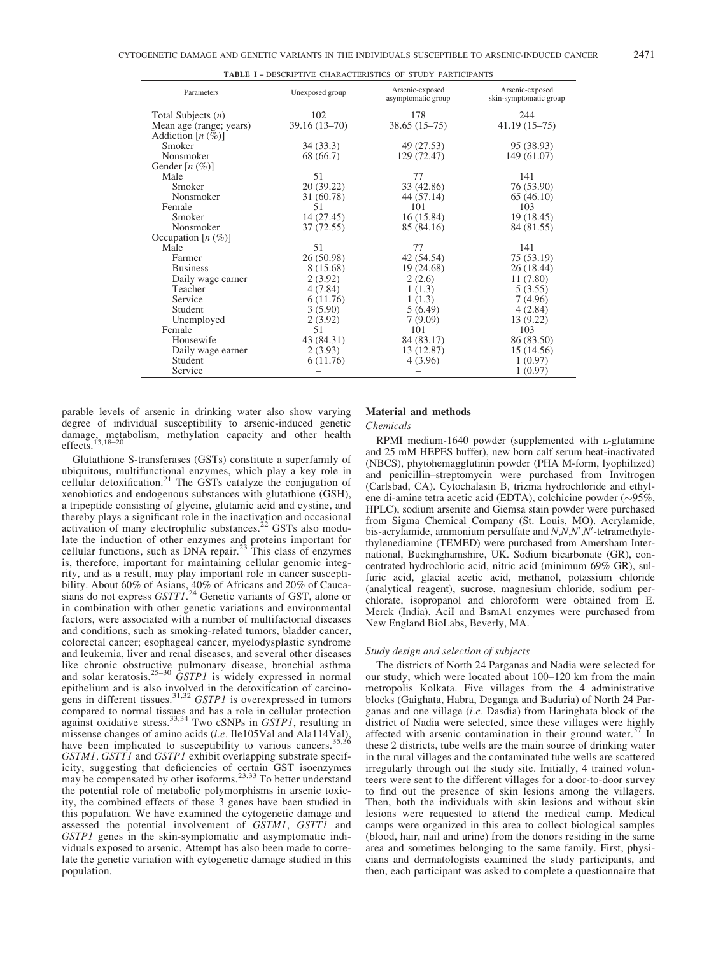| Parameters              | Unexposed group  | Arsenic-exposed<br>asymptomatic group | Arsenic-exposed<br>skin-symptomatic group |  |  |
|-------------------------|------------------|---------------------------------------|-------------------------------------------|--|--|
| Total Subjects $(n)$    | 102              | 178                                   | 244                                       |  |  |
| Mean age (range; years) | $39.16(13 - 70)$ | $38.65(15-75)$                        | $41.19(15-75)$                            |  |  |
| Addiction $[n(\%)]$     |                  |                                       |                                           |  |  |
| Smoker                  | 34(33.3)         | 49 (27.53)                            | 95 (38.93)                                |  |  |
| Nonsmoker               | 68 (66.7)        | 129 (72.47)                           | 149 (61.07)                               |  |  |
| Gender $[n \ (\%)]$     |                  |                                       |                                           |  |  |
| Male                    | 51               | 77                                    | 141                                       |  |  |
| Smoker                  | 20(39.22)        | 33 (42.86)                            | 76 (53.90)                                |  |  |
| Nonsmoker               | 31 (60.78)       | 44 (57.14)                            | 65(46.10)                                 |  |  |
| Female                  | 51               | 101                                   | 103                                       |  |  |
| Smoker                  | 14 (27.45)       | 16(15.84)                             | 19 (18.45)                                |  |  |
| Nonsmoker               | 37 (72.55)       | 85 (84.16)                            | 84 (81.55)                                |  |  |
| Occupation $[n (\%)]$   |                  |                                       |                                           |  |  |
| Male                    | 51               | 77                                    | 141                                       |  |  |
| Farmer                  | 26 (50.98)       | 42 (54.54)                            | 75 (53.19)                                |  |  |
| <b>Business</b>         | 8 (15.68)        | 19 (24.68)                            | 26 (18.44)                                |  |  |
| Daily wage earner       | 2(3.92)          | 2(2.6)                                | 11 (7.80)                                 |  |  |
| Teacher                 | 4 (7.84)         | 1(1.3)                                | 5(3.55)                                   |  |  |
| Service                 | 6(11.76)         | 1(1.3)                                | 7(4.96)                                   |  |  |
| Student                 | 3(5.90)          | 5(6.49)                               | 4(2.84)                                   |  |  |
| Unemployed              | 2(3.92)          | 7(9.09)                               | 13 (9.22)                                 |  |  |
| Female                  | 51               | 101                                   | 103                                       |  |  |
| Housewife               | 43 (84.31)       | 84 (83.17)                            | 86 (83.50)                                |  |  |
| Daily wage earner       | 2(3.93)          | 13 (12.87)                            | 15 (14.56)                                |  |  |
| Student                 | 6(11.76)         | 4(3.96)                               | 1(0.97)                                   |  |  |
| Service                 |                  |                                       | 1(0.97)                                   |  |  |

TABLE I – DESCRIPTIVE CHARACTERISTICS OF STUDY PARTICIPANTS

parable levels of arsenic in drinking water also show varying degree of individual susceptibility to arsenic-induced genetic damage, metabolism, methylation capacity and other health effects.13,18–20

Glutathione S-transferases (GSTs) constitute a superfamily of ubiquitous, multifunctional enzymes, which play a key role in cellular detoxification.<sup>21</sup> The GSTs catalyze the conjugation of xenobiotics and endogenous substances with glutathione (GSH), a tripeptide consisting of glycine, glutamic acid and cystine, and thereby plays a significant role in the inactivation and occasional activation of many electrophilic substances.<sup>22</sup> GSTs also modulate the induction of other enzymes and proteins important for cellular functions, such as DNA repair.<sup>23</sup> This class of enzymes is, therefore, important for maintaining cellular genomic integrity, and as a result, may play important role in cancer susceptibility. About 60% of Asians, 40% of Africans and 20% of Caucasians do not express  $GSTTI$ <sup>24</sup> Genetic variants of GST, alone or in combination with other genetic variations and environmental factors, were associated with a number of multifactorial diseases and conditions, such as smoking-related tumors, bladder cancer, colorectal cancer; esophageal cancer, myelodysplastic syndrome and leukemia, liver and renal diseases, and several other diseases like chronic obstructive pulmonary disease, bronchial asthma<br>and solar keratosis.<sup>25–30</sup> GSTP1 is widely expressed in normal epithelium and is also involved in the detoxification of carcino-<br>gens in different tissues.<sup>31,32</sup> *GSTP1* is overexpressed in tumors compared to normal tissues and has a role in cellular protection against oxidative stress.<sup>33,34</sup> Two cSNPs in *GSTP1*, resulting in missense changes of amino acids (*i.e.* Ile105Val and Ala114Val), have been implicated to susceptibility to various cancers.<sup>35,36</sup> GSTM1, GSTT1 and GSTP1 exhibit overlapping substrate specificity, suggesting that deficiencies of certain GST isoenzymes may be compensated by other isoforms.<sup>23,33</sup> To better understand the potential role of metabolic polymorphisms in arsenic toxicity, the combined effects of these 3 genes have been studied in this population. We have examined the cytogenetic damage and assessed the potential involvement of GSTM1, GSTT1 and GSTP1 genes in the skin-symptomatic and asymptomatic individuals exposed to arsenic. Attempt has also been made to correlate the genetic variation with cytogenetic damage studied in this population.

# Material and methods

Chemicals

RPMI medium-1640 powder (supplemented with <sup>L</sup>-glutamine and 25 mM HEPES buffer), new born calf serum heat-inactivated (NBCS), phytohemagglutinin powder (PHA M-form, lyophilized) and penicillin–streptomycin were purchased from Invitrogen (Carlsbad, CA). Cytochalasin B, trizma hydrochloride and ethylene di-amine tetra acetic acid (EDTA), colchicine powder ( $\sim$ 95%, HPLC), sodium arsenite and Giemsa stain powder were purchased from Sigma Chemical Company (St. Louis, MO). Acrylamide,  $\sum_{i=1}^{N}$  of  $\sum_{i=1}^{N}$  (can be seen,  $N$ ),  $N'$  -tetramethylethylenediamine (TEMED) were purchased from Amersham International, Buckinghamshire, UK. Sodium bicarbonate (GR), concentrated hydrochloric acid, nitric acid (minimum 69% GR), sulfuric acid, glacial acetic acid, methanol, potassium chloride (analytical reagent), sucrose, magnesium chloride, sodium perchlorate, isopropanol and chloroform were obtained from E. Merck (India). AciI and BsmA1 enzymes were purchased from New England BioLabs, Beverly, MA.

#### Study design and selection of subjects

The districts of North 24 Parganas and Nadia were selected for our study, which were located about 100–120 km from the main metropolis Kolkata. Five villages from the 4 administrative blocks (Gaighata, Habra, Deganga and Baduria) of North 24 Parganas and one village (i.e. Dasdia) from Haringhata block of the district of Nadia were selected, since these villages were highly affected with arsenic contamination in their ground water.<sup>37</sup> In these 2 districts, tube wells are the main source of drinking water in the rural villages and the contaminated tube wells are scattered irregularly through out the study site. Initially, 4 trained volunteers were sent to the different villages for a door-to-door survey to find out the presence of skin lesions among the villagers. Then, both the individuals with skin lesions and without skin lesions were requested to attend the medical camp. Medical camps were organized in this area to collect biological samples (blood, hair, nail and urine) from the donors residing in the same area and sometimes belonging to the same family. First, physicians and dermatologists examined the study participants, and then, each participant was asked to complete a questionnaire that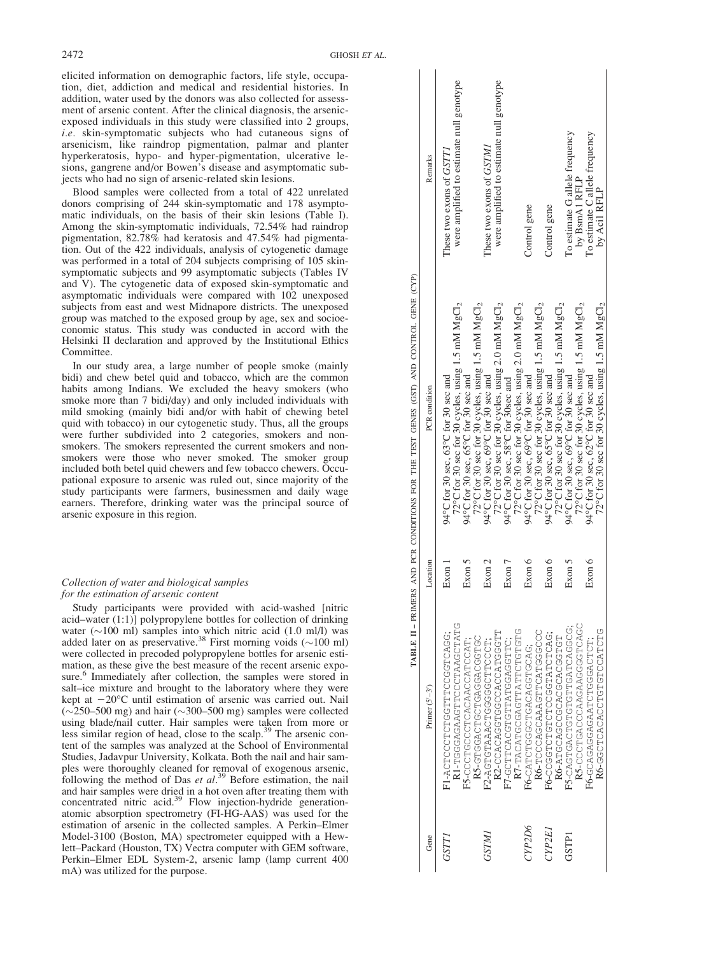2472 GHOSH ET AL.

elicited information on demographic factors, life style, occupation, diet, addiction and medical and residential histories. In addition, water used by the donors was also collected for assessment of arsenic content. After the clinical diagnosis, the arsenicexposed individuals in this study were classified into 2 groups, i.e. skin-symptomatic subjects who had cutaneous signs of arsenicism, like raindrop pigmentation, palmar and planter hyperkeratosis, hypo- and hyper-pigmentation, ulcerative lesions, gangrene and/or Bowen's disease and asymptomatic subjects who had no sign of arsenic-related skin lesions.

Blood samples were collected from a total of 422 unrelated donors comprising of 244 skin-symptomatic and 178 asymptomatic individuals, on the basis of their skin lesions (Table I). Among the skin-symptomatic individuals, 72.54% had raindrop pigmentation, 82.78% had keratosis and 47.54% had pigmentation. Out of the 422 individuals, analysis of cytogenetic damage was performed in a total of 204 subjects comprising of 105 skinsymptomatic subjects and 99 asymptomatic subjects (Tables IV and V). The cytogenetic data of exposed skin-symptomatic and asymptomatic individuals were compared with 102 unexposed subjects from east and west Midnapore districts. The unexposed group was matched to the exposed group by age, sex and socioeconomic status. This study was conducted in accord with the Helsinki II declaration and approved by the Institutional Ethics Committee.

In our study area, a large number of people smoke (mainly bidi) and chew betel quid and tobacco, which are the common habits among Indians. We excluded the heavy smokers (who smoke more than 7 bidi/day) and only included individuals with mild smoking (mainly bidi and/or with habit of chewing betel quid with tobacco) in our cytogenetic study. Thus, all the groups were further subdivided into 2 categories, smokers and nonsmokers. The smokers represented the current smokers and nonsmokers were those who never smoked. The smoker group included both betel quid chewers and few tobacco chewers. Occupational exposure to arsenic was ruled out, since majority of the study participants were farmers, businessmen and daily wage earners. Therefore, drinking water was the principal source of arsenic exposure in this region.

# Collection of water and biological samples for the estimation of arsenic content

Study participants were provided with acid-washed [nitric acid–water (1:1)] polypropylene bottles for collection of drinking water  $(\sim 100 \text{ ml})$  samples into which nitric acid (1.0 ml/l) was added later on as preservative.<sup>38</sup> First morning voids ( $\sim$ 100 ml) were collected in precoded polypropylene bottles for arsenic estimation, as these give the best measure of the recent arsenic exposure.<sup>6</sup> Immediately after collection, the samples were stored in salt–ice mixture and brought to the laboratory where they were kept at  $-20^{\circ}$ C until estimation of arsenic was carried out. Nail  $(\sim 250 - 500 \text{ mg})$  and hair ( $\sim 300 - 500 \text{ mg}$ ) samples were collected using blade/nail cutter. Hair samples were taken from more or less similar region of head, close to the scalp.<sup>39</sup> The arsenic content of the samples was analyzed at the School of Environmental Studies, Jadavpur University, Kolkata. Both the nail and hair samples were thoroughly cleaned for removal of exogenous arsenic, following the method of Das et  $al$ <sup>39</sup> Before estimation, the nail and hair samples were dried in a hot oven after treating them with concentrated nitric acid.<sup>39</sup> Flow injection-hydride generationatomic absorption spectrometry (FI-HG-AAS) was used for the estimation of arsenic in the collected samples. A Perkin–Elmer Model-3100 (Boston, MA) spectrometer equipped with a Hewlett–Packard (Houston, TX) Vectra computer with GEM software, Perkin–Elmer EDL System-2, arsenic lamp (lamp current 400 mA) was utilized for the purpose.

|       |                                                 |          | TABLE II-PRIMERS AND PCR CONDITIONS FOR THE TEST GENES (GST) AND CONTROL GENE (CYP)                   |                                                                      |
|-------|-------------------------------------------------|----------|-------------------------------------------------------------------------------------------------------|----------------------------------------------------------------------|
| Gene  | Primer $(5'-3')$                                | Location | PCR condition                                                                                         | Remarks                                                              |
|       | UHALUUGAALUUULHUAGUAUUUUH-IN                    | Exon 1   | 72°C for 30 sec for 30 cycles, using 1.5 mM $MgCl2$<br>94°C for 30 sec, $63^{\circ}$ C for 30 sec and | were amplified to estimate null genotype<br>These two exons of GSTT1 |
|       | RS-GUOROURCTOROGEOFOR<br>FS-CCCACACACOUDOUD-S-L | Exon 5   | 72°C for 30 sec for 30 cycles, using 1.5 mM $MgCl2$<br>94°C for 30 sec, $65^{\circ}$ C for 30 sec and |                                                                      |
|       | :LOOOLLOOOOOOLOKKKLOLOK-CH                      | Exon 2   | 94°C for 30 sec, $69^{\circ}$ C for 30 sec and                                                        | These two exons of GSTM1                                             |
|       | R2-CCACCGUUGOCACCACHT                           |          | 72°C for 30 sec for 30 cycles, using 2.0 mM $MgCl2$                                                   | were amplified to estimate null genotype                             |
|       | :)LHUUKUULKHLULUUKULLUU-LH                      | Exon 7   | 94°C for 30 sec, $58$ °C for 30sec and                                                                |                                                                      |
|       | R7-TACATGGATTATTE-                              |          | 72°C for 30 sec for 30 cycles, using 2.0 mM $MgCl2$                                                   |                                                                      |
| YP2D6 | LOCACACACACOUDULOLACACAC                        | Exon 6   | 94°C for 30 sec, 69°C for 30 sec and                                                                  | Control gene                                                         |
|       | R6-TCCCAGCAARTTGGGCC                            |          | 72°C for 30 sec for 30 cycles, using 1.5 mM $MgCl2$                                                   |                                                                      |
| NP2E  |                                                 | Exon 6   | 94°C for 30 sec, $65^{\circ}$ C for 30 sec and                                                        | Control gene                                                         |
|       | R6-ATGCACOCOCACCACCET                           |          | 72°C for 30 sec for 30 cycles, using 1.5 mM $MgCl2$                                                   |                                                                      |
| GTPI  | :UUUUKUHKUHHUHUHUHUKUHUKU-SH                    | Exon 5   | 94°C for 30 sec, $69^{\circ}$ C for 30 sec and                                                        | To estimate G allele frequency                                       |
|       | R5-CCCTGAAGAAGGTCAGC                            |          | 72°C for 30 sec for 30 cycles, using 1.5 mM $MgCl2$                                                   | by BsmA1 RFLP                                                        |
|       | .HOHORDDDHOHRRDRDDRDROU-9H                      | Exon 6   | 94°C for 30 sec, $62^{\circ}$ C for 30 sec and                                                        | To estimate C allele frequency                                       |
|       | UHUHCULUHUHUUKUKUHUUU-0M                        |          | 72°C for 30 sec for 30 cycles, using 1.5 mM $MgCl2$                                                   | by Acil RFLP                                                         |
|       |                                                 |          |                                                                                                       |                                                                      |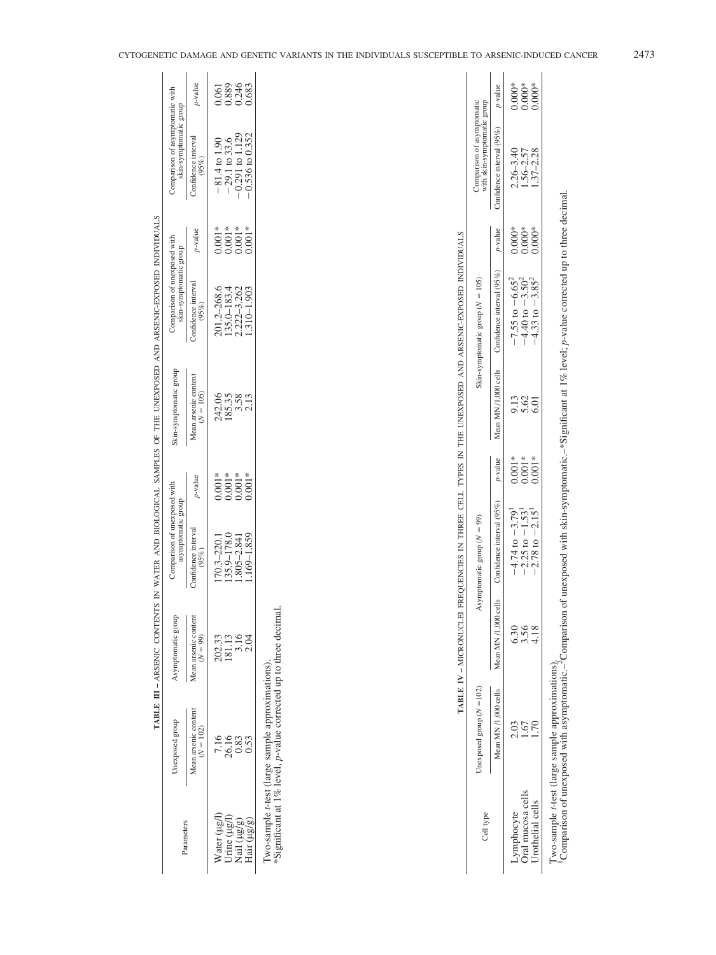|                                                            |                                     |                                     | omparison of unexposed with  |          | which was a complete that we can be a complete that we can be a complete that we have a complete the complete that the complete the complete that the complete the complete that the complete the complete the complete that t |                                                        |          |                                                           |                         |
|------------------------------------------------------------|-------------------------------------|-------------------------------------|------------------------------|----------|--------------------------------------------------------------------------------------------------------------------------------------------------------------------------------------------------------------------------------|--------------------------------------------------------|----------|-----------------------------------------------------------|-------------------------|
| arameters                                                  | Jnexposed group                     | aymptomatic group                   | asymptomatic group           |          | Skin-symptomatic group                                                                                                                                                                                                         | Comparison of unexposed with<br>skin-symptomatic group |          | Comparison of asymptomatic with<br>skin-symptomatic group |                         |
|                                                            | Aean arsenic conteni<br>$(N = 102)$ | whean arsenic content<br>$(N = 99)$ | confidence interval<br>(95%) | y-value  | Aean arsenic content<br>$(N = 105)$                                                                                                                                                                                            | onfidence interval<br>(95%)                            | p-value  | onfidence interval<br>(95%)                               | p-value                 |
|                                                            | 7.16                                |                                     | $70.3 - 220.$                | $0.001*$ |                                                                                                                                                                                                                                | 201.2–268.6                                            | $0.001*$ |                                                           | .06                     |
|                                                            | 26.16                               | 202.33<br>181.16<br>2.16<br>2.04    | 35.9-178.0                   | $0.001*$ | 242.06<br>185.35                                                                                                                                                                                                               | 35.0-183.4                                             | $0.001*$ | $-81.4$ to $1.90$<br>$-29.1$ to $33.6$                    | 0.889<br>0.246<br>0.683 |
|                                                            |                                     |                                     | $.805 - 2.841$               | $0.001*$ | 3.58                                                                                                                                                                                                                           | 2.222-3.262                                            | $0.001*$ | $-0.291$ to $1.129$                                       |                         |
| Water (µg/l)<br>Urine (µg/l)<br>Nail (µg/g)<br>Hair (µg/g) | 0.53                                |                                     | $.169 - 1.859$               | $0.001*$ | 2.13                                                                                                                                                                                                                           | $.310 - 1.903$                                         | $0.001*$ | 0.536 to 0.352                                            |                         |
|                                                            |                                     |                                     |                              |          |                                                                                                                                                                                                                                |                                                        |          |                                                           |                         |

TABLE III - ARSENIC CONTENTS IN WATER AND BIOLOGICAL SAMPLES OF THE UNEXPOSED AND ARSENIC-EXPOSED INDIVIDUALS TABLE III – ARSENIC CONTENTS IN WATER AND BIOLOGICAL SAMPLES OF THE UNEXPOSED AND ARSENIC-EXPOSED INDIVIDUALS

Two-sample t-test (large sample approximations).

Two-sample *t*-test (large sample approximations).<br>\*Significant at 1% level,  $p$ -value corrected up to three decimal. p-value corrected up to three decimal. \*Significant at 1% level,

|                                                                                 |                                                           | p-value                                        |                                                                      | ********<br>0.000.com<br>0.000.com                                                                                                                                                                                             |                                 |
|---------------------------------------------------------------------------------|-----------------------------------------------------------|------------------------------------------------|----------------------------------------------------------------------|--------------------------------------------------------------------------------------------------------------------------------------------------------------------------------------------------------------------------------|---------------------------------|
|                                                                                 | Comparison of asymptomatic<br>with skin-symptomatic group | Confidence interval (95%)                      |                                                                      | $2.26 - 3.40$<br>$1.56 - 2.57$                                                                                                                                                                                                 | $1.37 - 2.28$                   |
|                                                                                 |                                                           | p-value                                        | $0.000*$                                                             | $0.000*0.000*0.000*0.000*0.000*0.000*0.000*0.000*0.000*0.000*0.000*0.000*0.000*0.000*0.000*0.000*0.000*0.000*0.000*0.000*0.000*0.000*0.000*0.000*0.000*0.000*0.000*0.000*0.000*0.000*0.000*0.000*0.000*0.000*0.000*0.000*0.00$ |                                 |
| REQUENCIES IN THREE CELL TYPES IN THE UNEXPOSED AND ARSENIC-EXPOSED INDIVIDUALS | kin-symptomatic group $(N = 105)$                         | Mean MN /1,000 cells Confidence interval (95%) | $-7.55$ to $-6.65^2$<br>$-4.40$ to $-3.50^2$<br>$-4.33$ to $-3.85^2$ |                                                                                                                                                                                                                                |                                 |
|                                                                                 |                                                           |                                                | ).13                                                                 | $\frac{62}{5.01}$                                                                                                                                                                                                              |                                 |
|                                                                                 |                                                           | p-value                                        | $0.001*$                                                             | $0.001*$                                                                                                                                                                                                                       | $0.001*$                        |
|                                                                                 | Asymptomatic group $(N = 99)$                             | cells Confidence interval (95%)                | $-4.74$ to $-3.79$ <sup>1</sup>                                      | $-2.25$ to $-1.53$                                                                                                                                                                                                             | $-2.78$ to $-2.15$ <sup>1</sup> |
| <b>TABLE IV - MICRONUCLE</b>                                                    |                                                           | Mean MN /1,000                                 | 5.30                                                                 | 3.56<br>4.18                                                                                                                                                                                                                   |                                 |
|                                                                                 | Jnexposed group $(N = 102)$                               | Mean MN /1,000 cells                           | 2.03                                                                 | 1.67                                                                                                                                                                                                                           |                                 |
|                                                                                 | <b>Jell</b> type                                          |                                                |                                                                      | .ymphocyte<br>)ral mucosa cell                                                                                                                                                                                                 | Jrothelial cell:                |

 $0.001*$  6.01 0.001\*<br>0.001  $-2.15^1$  $-2.78$  to  $3.56$ <br>4.18 Urothelial cells 1.70 4.18  $\frac{1.67}{1.70}$ 

Two-sample t-test (large sample approximations).

Two-sample t-test (large sample approximations).<br><sup>1</sup>Comparison of unexposed with asymptomatic.<sup>-2</sup>Comparison of unexposed with skin-symptomatic.<sup>-\*S</sup>ignificant at 1% level; p-value corrected up to three decimal. p-value corrected up to three decimal. <sup>2</sup>Comparison of unexposed with skin-symptomatic. $-$ \*Significant at 1% level; 1Comparison of unexposed with asymptomatic.–

 $-4.33 \text{ to}$ 

 $-3.85^2$ 

 $^{2}$  0.000\* 1.37–2.28 0.000\*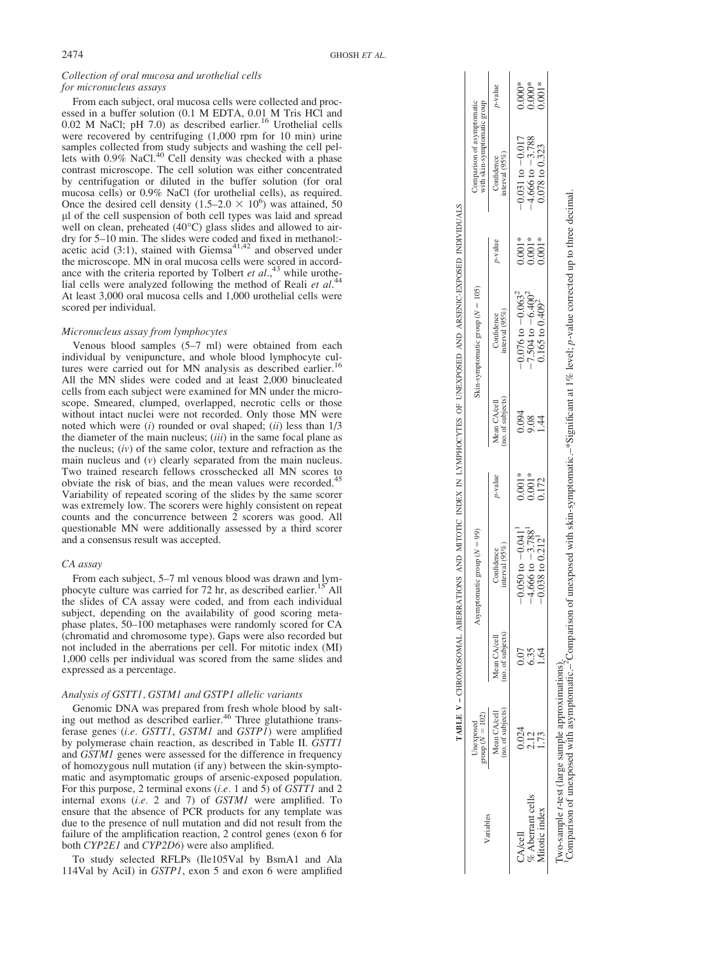## Collection of oral mucosa and urothelial cells for micronucleus assays

From each subject, oral mucosa cells were collected and processed in a buffer solution (0.1 M EDTA, 0.01 M Tris HCl and 0.02 M NaCl; pH 7.0) as described earlier.<sup>16</sup> Urothelial cells were recovered by centrifuging (1,000 rpm for 10 min) urine samples collected from study subjects and washing the cell pel-<br>lets with 0.9% NaCl.<sup>40</sup> Cell density was checked with a phase contrast microscope. The cell solution was either concentrated by centrifugation or diluted in the buffer solution (for oral mucosa cells) or 0.9% NaCl (for urothelial cells), as required. Once the desired cell density  $(1.5-2.0 \times 10^6)$  was attained, 50 ll of the cell suspension of both cell types was laid and spread well on clean, preheated (40 C) glass slides and allowed to airdry for 5–10 min. The slides were coded and fixed in methanol:-<br>acetic acid  $(3:1)$ , stained with Giemsa<sup>41,42</sup> and observed under the microscope. MN in oral mucosa cells were scored in accordance with the criteria reported by Tolbert et  $al.,<sup>43</sup>$  while urothelial cells were analyzed following the method of Reali et  $al$ .<sup>44</sup> At least 3,000 oral mucosa cells and 1,000 urothelial cells were scored per individual.

## Micronucleus assay from lymphocytes

Venous blood samples (5–7 ml) were obtained from each individual by venipuncture, and whole blood lymphocyte cultures were carried out for MN analysis as described earlier. All the MN slides were coded and at least 2,000 binucleated cells from each subject were examined for MN under the microscope. Smeared, clumped, overlapped, necrotic cells or those without intact nuclei were not recorded. Only those MN were noted which were (i) rounded or oval shaped; (ii) less than  $1/3$ the diameter of the main nucleus; (iii) in the same focal plane as the nucleus;  $(iv)$  of the same color, texture and refraction as the main nucleus and ( v) clearly separated from the main nucleus. Two trained research fellows crosschecked all MN scores to obviate the risk of bias, and the mean values were recorded.<sup>45</sup> Variability of repeated scoring of the slides by the same scorer was extremely low. The scorers were highly consistent on repeat counts and the concurrence between 2 scorers was good. All questionable MN were additionally assessed by a third scorer and a consensus result was accepted.

#### CA assay

From each subject, 5–7 ml venous blood was drawn and lymphocyte culture was carried for 72 hr, as described earlier.<sup>15</sup> All the slides of CA assay were coded, and from each individual subject, depending on the availability of good scoring metaphase plates, 50–100 metaphases were randomly scored for CA (chromatid and chromosome type). Gaps were also recorded but not included in the aberrations per cell. For mitotic index (MI) 1,000 cells per individual was scored from the same slides and expressed as a percentage.

# Analysis of GSTT1, GSTM1 and GSTP1 allelic variants

Genomic DNA was prepared from fresh whole blood by salting out method as described earlier.<sup>46</sup> Three glutathione transferase genes (i.e. GSTT1, GSTM1 and GSTP1) were amplified by polymerase chain reaction, as described in Table II. GSTT1 and GSTM1 genes were assessed for the difference in frequency of homozygous null mutation (if any) between the skin-symptomatic and asymptomatic groups of arsenic-exposed population. For this purpose, 2 terminal exons (*i.e.* 1 and 5) of GSTT1 and 2 internal exons (i.e. 2 and 7) of GSTM1 were amplified. To ensure that the absence of PCR products for any template was due to the presence of null mutation and did not result from the failure of the amplification reaction, 2 control genes (exon 6 for both *CYP2E1* and *CYP2D6*) were also amplified.

To study selected RFLPs (Ile105Val by BsmA1 and Ala 114Val by AciI) in GSTP1, exon 5 and exon 6 were amplified

|                                                                                                             |                                                           | y-value                           |                             |                      |                                  |
|-------------------------------------------------------------------------------------------------------------|-----------------------------------------------------------|-----------------------------------|-----------------------------|----------------------|----------------------------------|
|                                                                                                             | Comparison of asymptomatic<br>with skin-symptomatic group | mterval $(95\%)$<br>Confidence    | $-0.031$ to $-0.017$        | $4.666$ to $-3.788$  | 0.078 to 0.323                   |
|                                                                                                             |                                                           | $v$ -value                        | $0.001*$                    | $0.001*$             | $0.001*$                         |
|                                                                                                             | kin-symptomatic group $(N = 105)$                         | interval ( $95\%$ )<br>Confidence | $-0.076 \text{ to } -0.063$ | 7.504 to $-6.400$    | $0.165$ to $0.4092$              |
|                                                                                                             |                                                           | 10. of subjects)<br>Mean CA/cell  | 0.094                       | 9.08                 | $\overline{4}$                   |
|                                                                                                             |                                                           | p-value                           | $0.001*$                    | $0.001*$             | 0.172                            |
| TABLE V – CHROMAL ABERRATIONS AND MITOTIC INDEX IN LYMPHOCYTES OF UNEXPOSED AND ARSENIC-EXPOSED INDIVIDUALS | symptomatic group $(N = 99)$                              | nterval $(95\%)$<br>Confidence    | $-0.050$ to $-0.041$        | $-4.666$ to $-3.788$ | $-0.038$ to $0.212$ <sup>1</sup> |
|                                                                                                             |                                                           | 10. of subjects)<br>Aean CA/cell  |                             | ೦.೫ ತ<br>೧.೫ ತ       |                                  |
|                                                                                                             | Unexposed<br>group ( $N = 102$ )                          | Mean CA/cell<br>no. of subjects)  |                             | 0.024<br>2.12        | 1.73                             |
|                                                                                                             | /ariables                                                 |                                   | <b>A/cell</b>               | Aberrant cell        | Aitotic index                    |

 $\Box$  $\sim$  1  $\overline{\phantom{a}}$ 

 $\mathbf{L}$ 

Two-sample t-test (large sample approximations).<br><sup>1</sup>Comparison of unexposed with asymptomatic.–<sup>2</sup>Comparison of unexposed with skin-symptomatic.–\*Significant at 1% level; *p*-value corrected up to three decimal. Iwo-sample 1-test (large sample approximations).<br>Comparison of unexposed with asymptomatic.–2Comparison of unexposed with skin-symptomatic.–\*Significant at 1% level; p-value corrected up to three decimal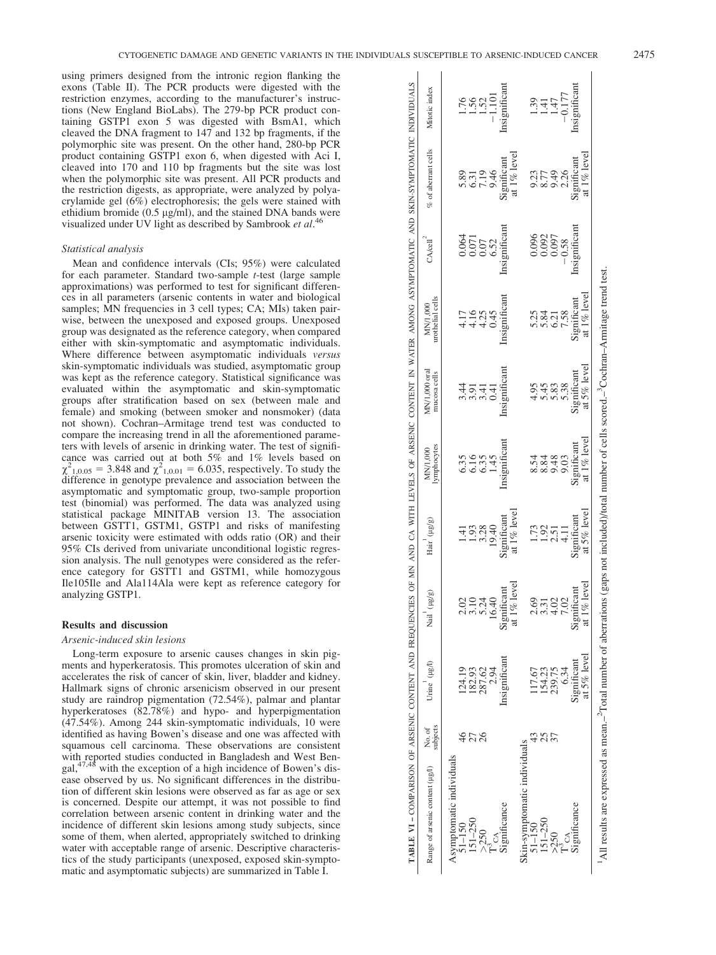using primers designed from the intronic region flanking the exons (Table II). The PCR products were digested with the restriction enzymes, according to the manufacturer's instructions (New England BioLabs). The 279-bp PCR product containing GSTP1 exon 5 was digested with BsmA1, which cleaved the DNA fragment to 147 and 132 bp fragments, if the polymorphic site was present. On the other hand, 280-bp PCR product containing GSTP1 exon 6, when digested with Aci I, cleaved into 170 and 110 bp fragments but the site was lost when the polymorphic site was present. All PCR products and the restriction digests, as appropriate, were analyzed by polyacrylamide gel (6%) electrophoresis; the gels were stained with ethidium bromide  $(0.5 \text{ µg/ml})$ , and the stained DNA bands were visualized under UV light as described by Sambrook et  $al$ .<sup>46</sup>

#### Statistical analysis

Mean and confidence intervals (CIs; 95%) were calculated for each parameter. Standard two-sample t-test (large sample approximations) was performed to test for significant differences in all parameters (arsenic contents in water and biological samples; MN frequencies in 3 cell types; CA; MIs) taken pairwise, between the unexposed and exposed groups. Unexposed group was designated as the reference category, when compared either with skin-symptomatic and asymptomatic individuals. Where difference between asymptomatic individuals versus skin-symptomatic individuals was studied, asymptomatic group was kept as the reference category. Statistical significance was evaluated within the asymptomatic and skin-symptomatic groups after stratification based on sex (between male and female) and smoking (between smoker and nonsmoker) (data not shown). Cochran–Armitage trend test was conducted to compare the increasing trend in all the aforementioned parameters with levels of arsenic in drinking water. The test of significance was carried out at both 5% and 1% levels based on  $\chi^2_{1,0.05} = 3.848$  and  $\chi^2_{1,0.01} = 6.035$ , respectively. To study the difference in genotype prevalence and association between the asymptomatic and symptomatic group, two-sample proportion test (binomial) was performed. The data was analyzed using statistical package MINITAB version 13. The association between GSTT1, GSTM1, GSTP1 and risks of manifesting arsenic toxicity were estimated with odds ratio (OR) and their 95% CIs derived from univariate unconditional logistic regression analysis. The null genotypes were considered as the reference category for GSTT1 and GSTM1, while homozygous Ile105Ile and Ala114Ala were kept as reference category for analyzing GSTP1.

## Results and discussion

#### Arsenic-induced skin lesions

Long-term exposure to arsenic causes changes in skin pigments and hyperkeratosis. This promotes ulceration of skin and accelerates the risk of cancer of skin, liver, bladder and kidney. Hallmark signs of chronic arsenicism observed in our present study are raindrop pigmentation (72.54%), palmar and plantar hyperkeratoses (82.78%) and hypo- and hyperpigmentation (47.54%). Among 244 skin-symptomatic individuals, 10 were identified as having Bowen's disease and one was affected with squamous cell carcinoma. These observations are consistent with reported studies conducted in Bangladesh and West Ben-<br>gal,<sup>47,48</sup> with the exception of a high incidence of Bowen's disease observed by us. No significant differences in the distribution of different skin lesions were observed as far as age or sex is concerned. Despite our attempt, it was not possible to find correlation between arsenic content in drinking water and the incidence of different skin lesions among study subjects, since some of them, when alerted, appropriately switched to drinking water with acceptable range of arsenic. Descriptive characteristics of the study participants (unexposed, exposed skin-symptomatic and asymptomatic subjects) are summarized in Table I.

| TABLE V1 - COMPARISON OF ARSENIC CONTENT AND FREQUENCIES OF MAY DE VESSENIC CONTENT IN WATER AMONG ASYMPTOMATIC AND SKIN-SYMPTOMATIC INDIVIDUALS | Mitotic index<br>$%$ of aberrant cells<br>CA/cell <sup>4</sup> |                          |           | 1.56<br>1.52<br>0.064 | 85194<br>85194<br>0.07 | $-1.101$<br>6.52 | Insignificant<br>at 1% level<br>Significant<br>Insignificant |                              |            | $\overline{41}$<br>0.896<br>0.896<br>0.896<br>0.092<br>0.092<br>0.097 | 1.47   | $-0.177$<br>$-0.58$ | insignificant<br>Significant<br>Insignificant | at $1\%$ level   |                                                                                                                                                                                        |
|--------------------------------------------------------------------------------------------------------------------------------------------------|----------------------------------------------------------------|--------------------------|-----------|-----------------------|------------------------|------------------|--------------------------------------------------------------|------------------------------|------------|-----------------------------------------------------------------------|--------|---------------------|-----------------------------------------------|------------------|----------------------------------------------------------------------------------------------------------------------------------------------------------------------------------------|
|                                                                                                                                                  | urothelial cells<br>MN/1,000                                   |                          |           | 1.16<br>4.16<br>4.25  |                        | 0.45             | Insignificant                                                |                              |            | 5.34<br>5.84<br>6.21                                                  |        | 7.58                | Significant                                   | at 1% level      |                                                                                                                                                                                        |
|                                                                                                                                                  | MN/1,000 oral<br>mucosa cells                                  |                          |           | र्<br>संक्रम<br>लल    |                        | 0.41             | Insignificant                                                |                              |            | $4.958$<br>5.453                                                      |        | 5.38                | Significant                                   | at $5%$ level    |                                                                                                                                                                                        |
|                                                                                                                                                  | lymphocytes<br>MN/1,000                                        |                          |           | 635<br>6635           |                        | 1.45             | Insignificant                                                |                              | 8.54       | 8.84                                                                  | 9.48   | 9.03                | Significant                                   | at 1% level      |                                                                                                                                                                                        |
|                                                                                                                                                  | Hair (µg/g)                                                    |                          |           | $149.28$<br>$149.28$  |                        | 19.40            | at $1\%$ level<br>Significant                                |                              |            | 1.92                                                                  | 2.51   |                     | Significant                                   | at 5% level      |                                                                                                                                                                                        |
|                                                                                                                                                  | $(\mu g/g)$<br>Nail                                            |                          |           | $\frac{2.02}{3.10}$   | 5.24<br>16.40          |                  | $1\%$ level<br>Significant<br>ದ                              |                              | 2.69       | 3.31                                                                  | 4.02   | 7.02                | Significant                                   | $1\%$ level<br>ಡ |                                                                                                                                                                                        |
|                                                                                                                                                  | Urine (µg/l)                                                   |                          | 124.19    | 182.93                | 287.62                 | 2.94             | Insignificant                                                |                              | 17.67      | 154.23                                                                | 239.75 | 6.34                | Significant                                   | at 5% level      |                                                                                                                                                                                        |
|                                                                                                                                                  | subjects<br>No. of                                             |                          |           | 27                    | 26                     |                  |                                                              |                              |            | 25                                                                    | 57     |                     |                                               |                  |                                                                                                                                                                                        |
|                                                                                                                                                  | Range of arsenic content (µg/l)                                | Asymptomatic individuals | $1 - 150$ | $151 - 250$           | 50 <sup>2</sup>        | CA               | ignificance                                                  | Skin-symptomatic individuals | $51 - 150$ | $151 - 250$                                                           | >250   |                     | ignificance                                   |                  | <sup>1</sup> All results are expressed as mean. <sup>-T</sup> Dotal number of aberrations (gaps not included)/total number of cells scored. <sup>-2</sup> Cochran-Armitage trend test. |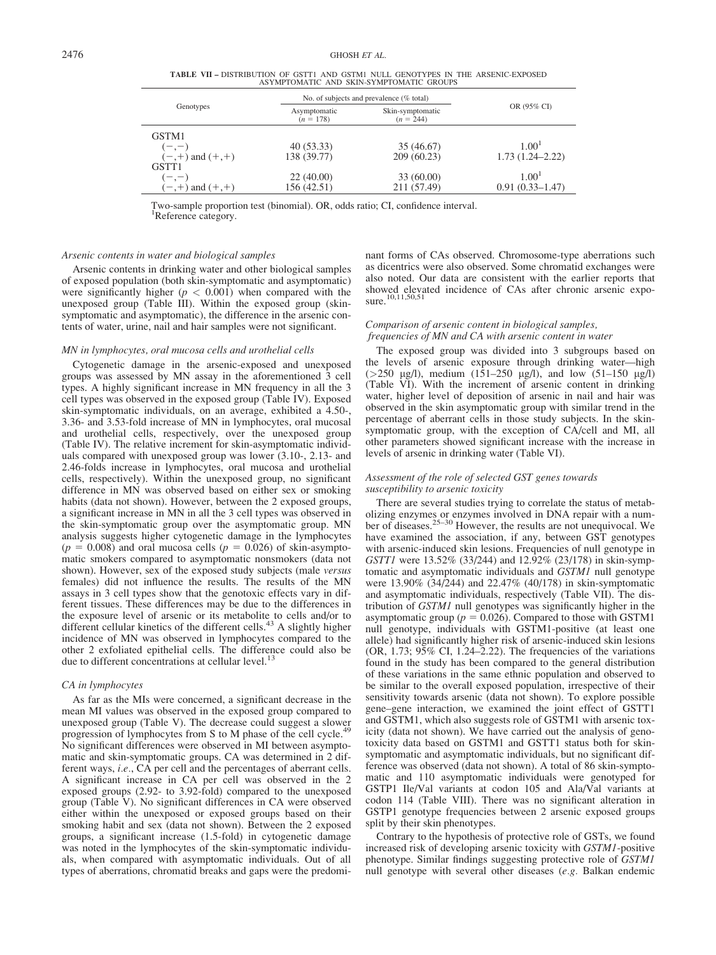TABLE VII – DISTRIBUTION OF GSTT1 AND GSTM1 NULL GENOTYPES IN THE ARSENIC-EXPOSED ASYMPTOMATIC AND SKIN-SYMPTOMATIC GROUPS

|                     |                             | No. of subjects and prevalence (% total) |                     |  |  |  |  |  |
|---------------------|-----------------------------|------------------------------------------|---------------------|--|--|--|--|--|
| Genotypes           | Asymptomatic<br>$(n = 178)$ | Skin-symptomatic<br>$(n = 244)$          | OR (95% CI)         |  |  |  |  |  |
| GSTM1               |                             |                                          |                     |  |  |  |  |  |
| $(-,-)$             | 40(53.33)                   | 35 (46.67)                               | 1.00 <sup>1</sup>   |  |  |  |  |  |
| $(-,+)$ and $(+,+)$ | 138 (39.77)                 | 209(60.23)                               | $1.73(1.24 - 2.22)$ |  |  |  |  |  |
| GSTT <sub>1</sub>   |                             |                                          |                     |  |  |  |  |  |
| $(-,-)$             | 22(40.00)                   | 33 (60.00)                               | 1.00 <sup>1</sup>   |  |  |  |  |  |
| $(-,+)$ and $(+,+)$ | 156 (42.51)                 | 211 (57.49)                              | $0.91(0.33 - 1.47)$ |  |  |  |  |  |

Two-sample proportion test (binomial). OR, odds ratio; CI, confidence interval. <sup>1</sup>Reference category.

#### Arsenic contents in water and biological samples

Arsenic contents in drinking water and other biological samples of exposed population (both skin-symptomatic and asymptomatic) were significantly higher  $(p < 0.001)$  when compared with the unexposed group (Table III). Within the exposed group (skinsymptomatic and asymptomatic), the difference in the arsenic contents of water, urine, nail and hair samples were not significant.

## MN in lymphocytes, oral mucosa cells and urothelial cells

Cytogenetic damage in the arsenic-exposed and unexposed groups was assessed by MN assay in the aforementioned 3 cell types. A highly significant increase in MN frequency in all the 3 cell types was observed in the exposed group (Table IV). Exposed skin-symptomatic individuals, on an average, exhibited a 4.50-, 3.36- and 3.53-fold increase of MN in lymphocytes, oral mucosal and urothelial cells, respectively, over the unexposed group (Table IV). The relative increment for skin-asymptomatic individuals compared with unexposed group was lower (3.10-, 2.13- and 2.46-folds increase in lymphocytes, oral mucosa and urothelial cells, respectively). Within the unexposed group, no significant difference in MN was observed based on either sex or smoking habits (data not shown). However, between the 2 exposed groups, a significant increase in MN in all the 3 cell types was observed in the skin-symptomatic group over the asymptomatic group. MN analysis suggests higher cytogenetic damage in the lymphocytes  $(p = 0.008)$  and oral mucosa cells  $(p = 0.026)$  of skin-asymptomatic smokers compared to asymptomatic nonsmokers (data not shown). However, sex of the exposed study subjects (male versus females) did not influence the results. The results of the MN assays in 3 cell types show that the genotoxic effects vary in different tissues. These differences may be due to the differences in the exposure level of arsenic or its metabolite to cells and/or to different cellular kinetics of the different cells.<sup>43</sup> A slightly higher incidence of MN was observed in lymphocytes compared to the other 2 exfoliated epithelial cells. The difference could also be due to different concentrations at cellular level.

#### CA in lymphocytes

As far as the MIs were concerned, a significant decrease in the mean MI values was observed in the exposed group compared to unexposed group (Table V). The decrease could suggest a slower progression of lymphocytes from S to M phase of the cell cycle.<sup>4</sup> No significant differences were observed in MI between asymptomatic and skin-symptomatic groups. CA was determined in 2 different ways, i.e., CA per cell and the percentages of aberrant cells. A significant increase in CA per cell was observed in the 2 exposed groups (2.92- to 3.92-fold) compared to the unexposed group (Table V). No significant differences in CA were observed either within the unexposed or exposed groups based on their smoking habit and sex (data not shown). Between the 2 exposed groups, a significant increase (1.5-fold) in cytogenetic damage was noted in the lymphocytes of the skin-symptomatic individuals, when compared with asymptomatic individuals. Out of all types of aberrations, chromatid breaks and gaps were the predominant forms of CAs observed. Chromosome-type aberrations such as dicentrics were also observed. Some chromatid exchanges were also noted. Our data are consistent with the earlier reports that showed elevated incidence of CAs after chronic arsenic expo-sure.10,11,50,51

# Comparison of arsenic content in biological samples, frequencies of MN and CA with arsenic content in water

The exposed group was divided into 3 subgroups based on the levels of arsenic exposure through drinking water—high ( $>250 \text{ µg/l}$ ), medium (151–250  $\mu$ g/l), and low (51–150  $\mu$ g/l) (Table VI). With the increment of arsenic content in drinking water, higher level of deposition of arsenic in nail and hair was observed in the skin asymptomatic group with similar trend in the percentage of aberrant cells in those study subjects. In the skinsymptomatic group, with the exception of CA/cell and MI, all other parameters showed significant increase with the increase in levels of arsenic in drinking water (Table VI).

## Assessment of the role of selected GST genes towards susceptibility to arsenic toxicity

There are several studies trying to correlate the status of metabolizing enzymes or enzymes involved in DNA repair with a num-<br>ber of diseases.<sup>25–30</sup> However, the results are not unequivocal. We have examined the association, if any, between GST genotypes with arsenic-induced skin lesions. Frequencies of null genotype in GSTT1 were 13.52% (33/244) and 12.92% (23/178) in skin-symptomatic and asymptomatic individuals and GSTM1 null genotype were 13.90% (34/244) and 22.47% (40/178) in skin-symptomatic and asymptomatic individuals, respectively (Table VII). The distribution of GSTM1 null genotypes was significantly higher in the asymptomatic group ( $p = 0.026$ ). Compared to those with GSTM1 null genotype, individuals with GSTM1-positive (at least one allele) had significantly higher risk of arsenic-induced skin lesions (OR, 1.73; 95% CI, 1.24–2.22). The frequencies of the variations found in the study has been compared to the general distribution of these variations in the same ethnic population and observed to be similar to the overall exposed population, irrespective of their sensitivity towards arsenic (data not shown). To explore possible gene–gene interaction, we examined the joint effect of GSTT1 and GSTM1, which also suggests role of GSTM1 with arsenic toxicity (data not shown). We have carried out the analysis of genotoxicity data based on GSTM1 and GSTT1 status both for skinsymptomatic and asymptomatic individuals, but no significant difference was observed (data not shown). A total of 86 skin-symptomatic and 110 asymptomatic individuals were genotyped for GSTP1 Ile/Val variants at codon 105 and Ala/Val variants at codon 114 (Table VIII). There was no significant alteration in GSTP1 genotype frequencies between 2 arsenic exposed groups split by their skin phenotypes.

Contrary to the hypothesis of protective role of GSTs, we found increased risk of developing arsenic toxicity with GSTM1-positive phenotype. Similar findings suggesting protective role of GSTM1 null genotype with several other diseases (e.g. Balkan endemic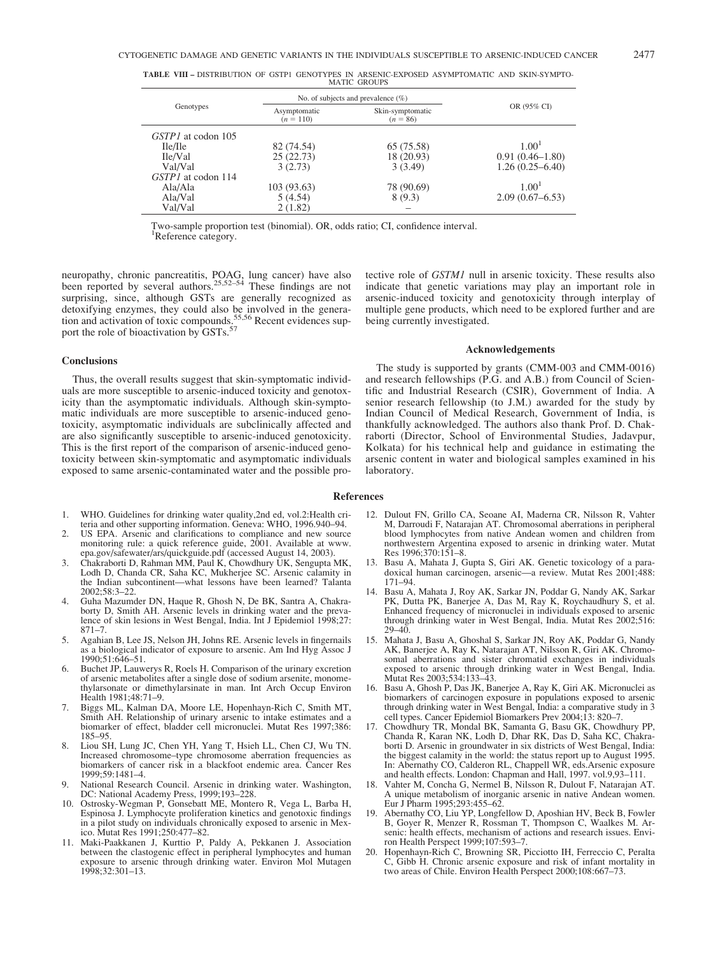|                           | No. of subjects and prevalence $(\%)$ |                                |                     |  |
|---------------------------|---------------------------------------|--------------------------------|---------------------|--|
| Genotypes                 | Asymptomatic<br>$(n = 110)$           | Skin-symptomatic<br>$(n = 86)$ | OR (95% CI)         |  |
| <i>GSTP1</i> at codon 105 |                                       |                                |                     |  |
| Ile/Ile                   | 82 (74.54)                            | 65 (75.58)                     | 1.00 <sup>1</sup>   |  |
| Ile/Val                   | 25(22.73)                             | 18 (20.93)                     | $0.91(0.46 - 1.80)$ |  |
| Val/Val                   | 3(2.73)                               | 3(3.49)                        | $1.26(0.25 - 6.40)$ |  |
| GSTP1 at codon 114        |                                       |                                |                     |  |
| Ala/Ala                   | 103 (93.63)                           | 78 (90.69)                     | 1.00 <sup>1</sup>   |  |
| Ala/Val                   | 5(4.54)                               | 8 (9.3)                        | $2.09(0.67 - 6.53)$ |  |
| Val/Val                   | 2(1.82)                               |                                |                     |  |

TABLE VIII – DISTRIBUTION OF GSTP1 GENOTYPES IN ARSENIC-EXPOSED ASYMPTOMATIC AND SKIN-SYMPTO-MATIC GROUPS

Two-sample proportion test (binomial). OR, odds ratio; CI, confidence interval. <sup>1</sup>Reference category.

neuropathy, chronic pancreatitis, POAG, lung cancer) have also been reported by several authors.<sup>25,52–54</sup> These findings are not surprising, since, although GSTs are generally recognized as detoxifying enzymes, they could also be involved in the generation and activation of toxic compounds. $\frac{55,56}{2}$  Recent evidences support the role of bioactivation by GSTs.<sup>57</sup>

#### **Conclusions**

Thus, the overall results suggest that skin-symptomatic individuals are more susceptible to arsenic-induced toxicity and genotoxicity than the asymptomatic individuals. Although skin-symptomatic individuals are more susceptible to arsenic-induced genotoxicity, asymptomatic individuals are subclinically affected and are also significantly susceptible to arsenic-induced genotoxicity. This is the first report of the comparison of arsenic-induced genotoxicity between skin-symptomatic and asymptomatic individuals exposed to same arsenic-contaminated water and the possible protective role of GSTM1 null in arsenic toxicity. These results also indicate that genetic variations may play an important role in arsenic-induced toxicity and genotoxicity through interplay of multiple gene products, which need to be explored further and are being currently investigated.

## Acknowledgements

The study is supported by grants (CMM-003 and CMM-0016) and research fellowships (P.G. and A.B.) from Council of Scientific and Industrial Research (CSIR), Government of India. A senior research fellowship (to J.M.) awarded for the study by Indian Council of Medical Research, Government of India, is thankfully acknowledged. The authors also thank Prof. D. Chakraborti (Director, School of Environmental Studies, Jadavpur, Kolkata) for his technical help and guidance in estimating the arsenic content in water and biological samples examined in his laboratory.

## References

- 1. WHO. Guidelines for drinking water quality,2nd ed, vol.2:Health criteria and other supporting information. Geneva: WHO, 1996.940–94.
- 2. US EPA. Arsenic and clarifications to compliance and new source monitoring rule: a quick reference guide, 2001. Available at www. epa.gov/safewater/ars/quickguide.pdf (accessed August 14, 2003).
- 3. Chakraborti D, Rahman MM, Paul K, Chowdhury UK, Sengupta MK, Lodh D, Chanda CR, Saha KC, Mukherjee SC. Arsenic calamity in the Indian subcontinent—what lessons have been learned? Talanta 2002;58:3–22.
- 4. Guha Mazumder DN, Haque R, Ghosh N, De BK, Santra A, Chakraborty D, Smith AH. Arsenic levels in drinking water and the prevalence of skin lesions in West Bengal, India. Int J Epidemiol 1998;27: 871–7.
- 5. Agahian B, Lee JS, Nelson JH, Johns RE. Arsenic levels in fingernails as a biological indicator of exposure to arsenic. Am Ind Hyg Assoc J 1990;51:646–51.
- 6. Buchet JP, Lauwerys R, Roels H. Comparison of the urinary excretion of arsenic metabolites after a single dose of sodium arsenite, monomethylarsonate or dimethylarsinate in man. Int Arch Occup Environ Health 1981;48:71–9.
- 7. Biggs ML, Kalman DA, Moore LE, Hopenhayn-Rich C, Smith MT, Smith AH. Relationship of urinary arsenic to intake estimates and a biomarker of effect, bladder cell micronuclei. Mutat Res 1997;386: 185–95.
- 8. Liou SH, Lung JC, Chen YH, Yang T, Hsieh LL, Chen CJ, Wu TN. Increased chromosome–type chromosome aberration frequencies as biomarkers of cancer risk in a blackfoot endemic area. Cancer Res  $1999.59.1481 - 4$
- 9. National Research Council. Arsenic in drinking water. Washington, DC: National Academy Press, 1999;193–228.
- 10. Ostrosky-Wegman P, Gonsebatt ME, Montero R, Vega L, Barba H, Espinosa J. Lymphocyte proliferation kinetics and genotoxic findings in a pilot study on individuals chronically exposed to arsenic in Mexico. Mutat Res 1991;250:477–82.
- 11. Maki-Paakkanen J, Kurttio P, Paldy A, Pekkanen J. Association between the clastogenic effect in peripheral lymphocytes and human exposure to arsenic through drinking water. Environ Mol Mutagen 1998;32:301–13.
- 12. Dulout FN, Grillo CA, Seoane AI, Maderna CR, Nilsson R, Vahter M, Darroudi F, Natarajan AT. Chromosomal aberrations in peripheral blood lymphocytes from native Andean women and children from northwestern Argentina exposed to arsenic in drinking water. Mutat Res 1996;370:151–8.
- 13. Basu A, Mahata J, Gupta S, Giri AK. Genetic toxicology of a paradoxical human carcinogen, arsenic—a review. Mutat Res 2001;488: 171–94.
- 14. Basu A, Mahata J, Roy AK, Sarkar JN, Poddar G, Nandy AK, Sarkar PK, Dutta PK, Banerjee A, Das M, Ray K, Roychaudhury S, et al. Enhanced frequency of micronuclei in individuals exposed to arsenic through drinking water in West Bengal, India. Mutat Res 2002;516:  $29 - 40.$
- 15. Mahata J, Basu A, Ghoshal S, Sarkar JN, Roy AK, Poddar G, Nandy AK, Banerjee A, Ray K, Natarajan AT, Nilsson R, Giri AK. Chromosomal aberrations and sister chromatid exchanges in individuals exposed to arsenic through drinking water in West Bengal, India. Mutat Res 2003;534:133–43.
- 16. Basu A, Ghosh P, Das JK, Banerjee A, Ray K, Giri AK. Micronuclei as biomarkers of carcinogen exposure in populations exposed to arsenic through drinking water in West Bengal, India: a comparative study in 3 cell types. Cancer Epidemiol Biomarkers Prev 2004;13: 820–7.
- 17. Chowdhury TR, Mondal BK, Samanta G, Basu GK, Chowdhury PP, Chanda R, Karan NK, Lodh D, Dhar RK, Das D, Saha KC, Chakraborti D. Arsenic in groundwater in six districts of West Bengal, India: the biggest calamity in the world: the status report up to August 1995. In: Abernathy CO, Calderon RL, Chappell WR, eds.Arsenic exposure and health effects. London: Chapman and Hall, 1997. vol.9,93–111.
- 18. Vahter M, Concha G, Nermel B, Nilsson R, Dulout F, Natarajan AT. A unique metabolism of inorganic arsenic in native Andean women. Eur J Pharm 1995;293:455–62.
- 19. Abernathy CO, Liu YP, Longfellow D, Aposhian HV, Beck B, Fowler B, Goyer R, Menzer R, Rossman T, Thompson C, Waalkes M. Arsenic: health effects, mechanism of actions and research issues. Environ Health Perspect 1999;107:593–7.
- 20. Hopenhayn-Rich C, Browning SR, Picciotto IH, Ferreccio C, Peralta C, Gibb H. Chronic arsenic exposure and risk of infant mortality in two areas of Chile. Environ Health Perspect 2000;108:667–73.